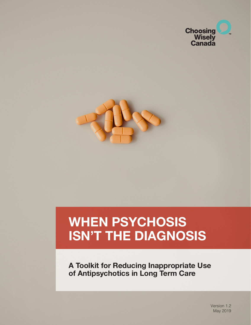



# **WHEN PSYCHOSIS ISN'T THE DIAGNOSIS**

**A Toolkit for Reducing Inappropriate Use of Antipsychotics in Long Term Care**

> Version 1.2 May 2019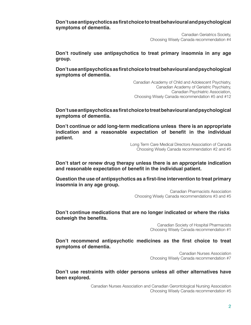**Don't use antipsychotics as first choice to treat behavioural and psychological symptoms of dementia.**

> Canadian Geriatrics Society, Choosing Wisely Canada recommendation #4

**Don't routinely use antipsychotics to treat primary insomnia in any age group.**

**Don't use antipsychotics as first choice to treat behavioural and psychological symptoms of dementia.**

> Canadian Academy of Child and Adolescent Psychiatry, Canadian Academy of Geriatric Psychiatry, Canadian Psychiatric Association, Choosing Wisely Canada recommendation #5 and #12

**Don't use antipsychotics as first choice to treat behavioural and psychological symptoms of dementia.** 

**Don't continue or add long-term medications unless there is an appropriate indication and a reasonable expectation of benefit in the individual patient.** 

> Long Term Care Medical Directors Association of Canada Choosing Wisely Canada recommendation #2 and #5

**Don't start or renew drug therapy unless there is an appropriate indication and reasonable expectation of benefit in the individual patient.** 

**Question the use of antipsychotics as a first-line intervention to treat primary insomnia in any age group.** 

> Canadian Pharmacists Association Choosing Wisely Canada recommendations #3 and #5

**Don't continue medications that are no longer indicated or where the risks outweigh the benefits.**

> Canadian Society of Hospital Pharmacists Choosing Wisely Canada recommendation #1

**Don't recommend antipsychotic medicines as the first choice to treat symptoms of dementia.** 

> Canadian Nurses Association Choosing Wisely Canada recommendation #7

**Don't use restraints with older persons unless all other alternatives have been explored.** 

> Canadian Nurses Association and Canadian Gerontological Nursing Association Choosing Wisely Canada recommendation #5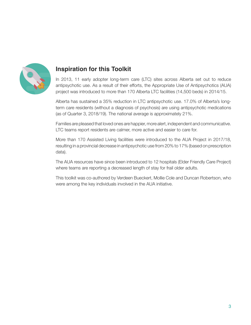

# **Inspiration for this Toolkit**

In 2013, 11 early adopter long-term care (LTC) sites across Alberta set out to reduce antipsychotic use. As a result of their efforts, the Appropriate Use of Antipsychotics (AUA) project was introduced to more than 170 Alberta LTC facilities (14,500 beds) in 2014/15.

Alberta has sustained a 35% reduction in LTC antipsychotic use. 17.0% of Alberta's longterm care residents (without a diagnosis of psychosis) are using antipsychotic medications (as of Quarter 3, 2018/19). The national average is approximately 21%.

Families are pleased that loved ones are happier, more alert, independent and communicative. LTC teams report residents are calmer, more active and easier to care for.

More than 170 Assisted Living facilities were introduced to the AUA Project in 2017/18, resulting in a provincial decrease in antipsychotic use from 20% to 17% (based on prescription data).

The AUA resources have since been introduced to 12 hospitals (Elder Friendly Care Project) where teams are reporting a decreased length of stay for frail older adults.

This toolkit was co-authored by Verdeen Bueckert, Mollie Cole and Duncan Robertson, who were among the key individuals involved in the AUA initiative.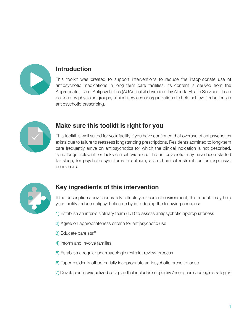

# **Introduction**

This toolkit was created to support interventions to reduce the inappropriate use of antipsychotic medications in long term care facilities. Its content is derived from the Appropriate Use of Antipsychotics (AUA) Toolkit developed by Alberta Health Services. It can be used by physician groups, clinical services or organizations to help achieve reductions in antipsychotic prescribing.



# **Make sure this toolkit is right for you**

This toolkit is well suited for your facility if you have confirmed that overuse of antipsychotics exists due to failure to reassess longstanding prescriptions. Residents admitted to long-term care frequently arrive on antipsychotics for which the clinical indication is not described, is no longer relevant, or lacks clinical evidence. The antipsychotic may have been started for sleep, for psychotic symptoms in delirium, as a chemical restraint, or for responsive behaviours.



# **Key ingredients of this intervention**

If the description above accurately reflects your current environment, this module may help your facility reduce antipsychotic use by introducing the following changes:

- 1) Establish an inter-disiplinary team (IDT) to assess antipsychotic appropriateness
- 2) Agree on appropriateness criteria for antipsychotic use
- 3) Educate care staff
- 4) Inform and involve families
- 5) Establish a regular pharmacologic restraint review process
- 6) Taper residents off potentially inappropriate antipsychotic prescriptionse
- 7) Develop an individualized care plan that includes supportive/non-pharmacologic strategies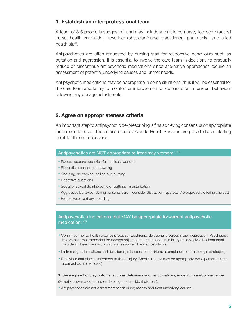## **1. Establish an inter-professional team**

A team of 3-5 people is suggested, and may include a registered nurse, licensed practical nurse, health care aide, prescriber (physician/nurse practitioner), pharmacist, and allied health staff.

Antipsychotics are often requested by nursing staff for responsive behaviours such as agitation and aggression. It is essential to involve the care team in decisions to gradually reduce or discontinue antipsychotic medications since alternative approaches require an assessment of potential underlying causes and unmet needs.

Antipsychotic medications may be appropriate in some situations, thus it will be essential for the care team and family to monitor for improvement or deterioration in resident behaviour following any dosage adjustments.

## **2. Agree on appropriateness criteria**

An important step to antipsychotic de-prescribing is first achieving consensus on appropriate indications for use. The criteria used by Alberta Health Services are provided as a starting point for these discussions:

#### Antipsychotics are NOT appropriate to treat/may worsen: 1,2,3

- Paces, appears upset/fearful, restless, wanders
- Sleep disturbance, sun downing
- Shouting, screaming, calling out, cursing
- Repetitive questions
- Social or sexual disinhibition e.g. spitting, masturbation
- Aggressive behaviour during personal care (consider distraction, approach/re-approach, offering choices)
- Protective of territory, hoarding

#### Antipsychotics Indications that MAY be appropriate forwarrant antipsychotic medication: 4,5

- Confirmed mental health diagnosis (e.g. schizophrenia, delusional disorder, major depression, Psychiatrist involvement recommended for dosage adjustments , traumatic brain injury or pervasive developmental disorders where there is chronic aggression and related psychosis).
- Distressing hallucinations and delusions (first assess for delirium, attempt non-pharmacologic strategies)
- Behaviour that places self/others at risk of injury (Short term use may be appropriate while person-centred approaches are explored)

#### 1. Severe psychotic symptoms, such as delusions and hallucinations, in delirium and/or dementia

(Severity is evaluated based on the degree of resident distress).

• Antipsychotics are not a treatment for delirium; assess and treat underlying causes.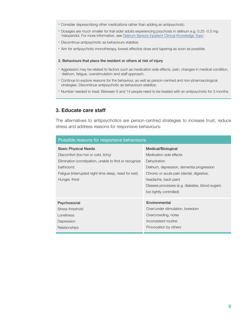- Consider deprescribing other medications rather than adding an antipsychotic.
- Dosages are much smaller for frail older adults experiencing psychosis in delirium e.g. 0.25 -0.5 mg haloperidol. For more information, see [Delirium Seniors Inpatient Clinical Knowledge Topic](https://extranet.ahsnet.ca/teams/policydocuments/1/klink/et-klink-ckv-delirium-seniors-inpatient.pdf)
- Discontinue antipsychotic as behaviours stabilize.
- Aim for antipsychotic monotherapy, lowest effective dose and tapering as soon as possible.
- 2. Behaviours that place the resident or others at risk of injury
- Aggression may be related to factors such as medication side-effects, pain, changes in medical condition, delirium, fatigue, overstimulation and staff approach.
- Continue to explore reasons for the behaviour, as well as person-centred and non-pharmacological strategies. Discontinue antipsychotic as behaviours stabilize.
- Number needed to treat: Between 5 and 14 people need to be treated with an antipsychotic for 3 months.

## **3. Educate care staff**

The alternatives to antipsychotics are person-centred strategies to increase trust, reduce stress and address reasons for responsive behaviours:

| Possible reasons for responsive behaviours:            |                                                |  |  |  |  |
|--------------------------------------------------------|------------------------------------------------|--|--|--|--|
| <b>Basic Physical Needs</b>                            | Medical/Biological                             |  |  |  |  |
| Discomfort (too hot or cold, itchy)                    | Medication side effects                        |  |  |  |  |
| Elimination (constipation, unable to find or recognize | Dehydration                                    |  |  |  |  |
| bathroom)                                              | Delirium, depression, dementia progression     |  |  |  |  |
| Fatigue (interrupted night time sleep, need for rest)  | Chronic or acute pain (dental, digestive,      |  |  |  |  |
| Hunger, thirst                                         | headache, back pain)                           |  |  |  |  |
|                                                        | Disease processes (e.g. diabetes, blood sugars |  |  |  |  |
|                                                        | too tightly controlled)                        |  |  |  |  |
|                                                        | Environmental                                  |  |  |  |  |
| Psychosocial                                           |                                                |  |  |  |  |
| Stress threshold                                       | Over/under stimulation, boredom                |  |  |  |  |
| Loneliness                                             | Overcrowding, noise                            |  |  |  |  |
| Depression                                             | Inconsistent routine                           |  |  |  |  |
| Relationships                                          | Provocation by others                          |  |  |  |  |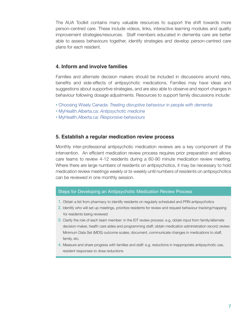The AUA Toolkit contains many valuable resources to support the shift towards more person-centred care. These include videos, links, interactive learning modules and quality improvement strategies/resources. Staff members educated in dementia care are better able to assess behaviours together, identify strategies and develop person-centred care plans for each resident.

#### **4. Inform and involve families**

Families and alternate decision makers should be included in discussions around risks, benefits and side-effects of antipsychotic medications. Families may have ideas and suggestions about supportive strategies, and are also able to observe and report changes in behaviour following dosage adjustments. Resources to support family discussions include:

- Choosing Wisely Canada: *[Treating disruptive behaviour in people with dementia](http://www.choosingwiselycanada.org/materials/treating-disruptive-behaviour-in-people-with-dementia-antipsychotic-drugs-are-usually-not-the-best-choice/)*
- MyHealth.Alberta.ca: *[Antipsychotic medicine](https://myhealth.alberta.ca/Alberta/Pages/Antipsychotic-medicine.aspx)*
- MyHealth.Alberta.ca: *[Responsive behaviours](https://myhealth.alberta.ca/Alberta/Pages/Dementia-responsive-behaviours.aspx)*

#### **5. Establish a regular medication review process**

Monthly inter-professional antipsychotic medication reviews are a key component of the intervention. An efficient medication review process requires prior preparation and allows care teams to review 4-12 residents during a 60-90 minute medication review meeting. Where there are large numbers of residents on antipsychotics, it may be necessary to hold medication review meetings weekly or bi-weekly until numbers of residents on antipsychotics can be reviewed in one monthly session.

#### Steps for Developing an Antipsychotic Medication Review Process

- 1. Obtain a list from pharmacy to identify residents on regularly scheduled and PRN antipsychotics
- 2. Identify who will set up meetings, prioritize residents for review and request behaviour tracking/mapping for residents being reviewed
- 3. Clarify the role of each team member: in the IDT review process: e.g. obtain input from family/alternate decision-maker, health care aides and programming staff; obtain medication administration record; review Minimum Data Set (MDS) outcome scales; document, communicate changes in medications to staff, family, etc.
- 4. Measure and share progress with families and staff: e.g. reductions in inappropriate antipsychotic use, resident responses to dose reductions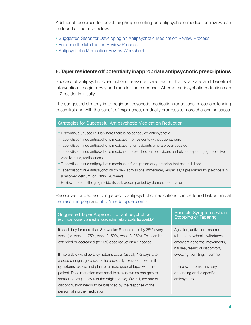Additional resources for developing/implementing an antipsychotic medication review can be found at the links below:

- [Suggested Steps for Developing an Antipsychotic Medication Review Process](http://www.albertahealthservices.ca/assets/about/scn/ahs-scn-srs-aua-suggested-steps.pdf)
- [Enhance the Medication Review Process](http://www.albertahealthservices.ca/assets/about/scn/ahs-scn-srs-aua-step10.pdf)
- [Antipsychotic Medication Review Worksheet](http://www.albertahealthservices.ca/frm-19676.pdf)

## **6. Taper residents off potentially inappropriate antipsychotic prescriptions**

Successful antipsychotic reductions reassure care teams this is a safe and beneficial intervention – begin slowly and monitor the response. Attempt antipsychotic reductions on 1-2 residents initially.

The suggested strategy is to begin antipsychotic medication reductions in less challenging cases first and with the benefit of experience, gradually progress to more challenging cases.

#### Strategies for Successful Antipsychotic Medication Reduction

- Discontinue unused PRNs where there is no scheduled antipsychotic
- Taper/discontinue antipsychotic medication for residents without behaviours
- Taper/discontinue antipsychotic medications for residents who are over-sedated
- Taper/discontinue antipsychotic medication prescribed for behaviours unlikely to respond (e.g. repetitive vocalizations, restlessness)
- Taper/discontinue antipsychotic medication for agitation or aggression that has stabilized
- Taper/discontinue antipsychotics on new admissions immediately (especially if prescribed for psychosis in a resolved delirium) or within 4-6 weeks
- Review more challenging residents last, accompanied by dementia education

Resources for deprescribing specific antipsychotic medications can be found below, and at [deprescribing.org](https://deprescribing.org/resources/deprescribing-guidelines-algorithms/) and [http://medstopper.com.](https://medstopper.com/) 9

| Suggested Taper Approach for antipsychotics<br>(e.g. risperidone, olanzapine, quetiapine, aripiprazole, haloperidol)                                                                           | Possible Symptoms when<br><b>Stopping or Tapering</b>                                                                                |
|------------------------------------------------------------------------------------------------------------------------------------------------------------------------------------------------|--------------------------------------------------------------------------------------------------------------------------------------|
| If used daily for more than 3-4 weeks: Reduce dose by 25% every<br>week (i.e. week 1: 75%, week 2: 50%, week 3: 25%). This can be<br>extended or decreased (to 10% dose reductions) if needed. | Agitation, activation, insomnia,<br>rebound psychosis, withdrawal-<br>emergent abnormal movements,<br>nausea, feeling of discomfort, |
| If intolerable withdrawal symptoms occur (usually 1-3 days after                                                                                                                               | sweating, vomiting, insomnia                                                                                                         |
| a dose change), go back to the previously tolerated dose until                                                                                                                                 |                                                                                                                                      |
| symptoms resolve and plan for a more gradual taper with the                                                                                                                                    | These symptoms may vary                                                                                                              |
| patient. Dose reduction may need to slow down as one gets to                                                                                                                                   | depending on the specific                                                                                                            |
| smaller doses (i.e. 25% of the original dose). Overall, the rate of                                                                                                                            | antipsychotic                                                                                                                        |
| discontinuation needs to be balanced by the response of the                                                                                                                                    |                                                                                                                                      |
| person taking the medication.                                                                                                                                                                  |                                                                                                                                      |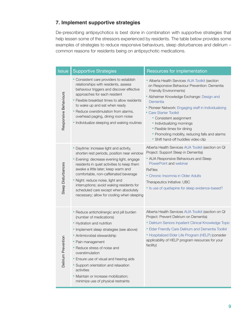## **7. Implement supportive strategies**

De-prescribing antipsychotics is best done in combination with supportive strategies that help lessen some of the stressors experienced by residents. The table below provides some examples of strategies to reduce responsive behaviours, sleep disturbances and delirium – common reasons for residents being on antipsychotic medications.

| Issue                   | <b>Supportive Strategies</b>                                                                                                                                                                                                                                                                                                                                                                                                             | Resources for implementation                                                                                                                                                                                                                                                                                                                                                                                                                           |
|-------------------------|------------------------------------------------------------------------------------------------------------------------------------------------------------------------------------------------------------------------------------------------------------------------------------------------------------------------------------------------------------------------------------------------------------------------------------------|--------------------------------------------------------------------------------------------------------------------------------------------------------------------------------------------------------------------------------------------------------------------------------------------------------------------------------------------------------------------------------------------------------------------------------------------------------|
| Responsive Behaviours   | • Consistent care providers to establish<br>relationships with residents, assess<br>behaviour triggers and discover effective<br>approaches for each resident<br>• Flexible breakfast times to allow residents<br>to wake up and eat when ready<br>• Reduce overstimulation from alarms,<br>overhead paging, dining room noise<br>• Individualize sleeping and waking routines                                                           | • Alberta Health Services AUA Toolkit (section<br>on Responsive Behaviour Prevention: Dementia<br>Friendly Environments)<br>• Alzheimer Knowledge Exchange: Design and<br>Dementia<br>• Pioneer Network: Engaging staff in Individualizing<br>• Care Starter Toolkit<br>• Consistent assignment<br>• Individualizing mornings<br>• Flexible times for dining<br>• Promoting mobility, reducing falls and alarms<br>• Shift hand-off huddles video clip |
| Sleep Disturbances      | • Daytime: increase light and activity,<br>shorten rest periods, position near window<br>· Evening: decrease evening light, engage<br>residents in quiet activities to keep them<br>awake a little later; keep warm and<br>comfortable, non-caffeinated beverage<br>• Night: reduce noise, light and<br>interruptions; avoid waking residents for<br>scheduled care except when absolutely<br>necessary; allow for cooling when sleeping | Alberta Health Services AUA Toolkit (section on QI<br>Project: Support Sleep in Dementia)<br>• AUA Responsive Behaviours and Sleep<br>PowerPoint and webinar<br><b>RxFiles</b><br>• Chronic Insomnia in Older Adults<br>Therapeutics Initiative: UBC<br>• Is use of quetiapine for sleep evidence-based?                                                                                                                                               |
| evention<br>Delirium Pr | • Reduce anticholinergic and pill burden<br>(number of medications)<br>• Hydration and nutrition<br>· Implement sleep strategies (see above)<br>• Antimicrobial stewardship<br>• Pain management<br>• Reduce stress of noise and<br>overstimulation<br>• Ensure use of visual and hearing aids<br>• Support orientation and relaxation<br>activities<br>· Maintain or increase mobilization;<br>minimize use of physical restraints      | Alberta Health Services AUA Toolkit (section on QI<br>Project: Prevent Delirium on Dementia)<br>• Delirium Seniors Inpatient Clinical Knowledge Topic<br>• Elder Friendly Care Delirium and Dementia Toolkit<br>• Hospitalized Elder Life Program (HELP) (consider<br>applicability of HELP program resources for your<br>facility)                                                                                                                    |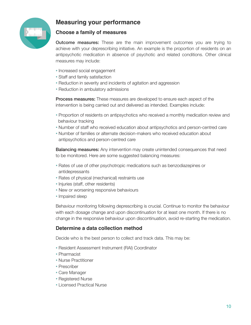

# **Measuring your performance**

## **Choose a family of measures**

**Outcome measures:** These are the main improvement outcomes you are trying to achieve with your deprescribing initiative. An example is the proportion of residents on an antipsychotic medication in absence of psychotic and related conditions. Other clinical measures may include:

- Increased social engagement
- Staff and family satisfaction
- Reduction in severity and incidents of agitation and aggression
- Reduction in ambulatory admissions

Process measures: These measures are developed to ensure each aspect of the intervention is being carried out and delivered as intended. Examples include:

- Proportion of residents on antipsychotics who received a monthly medication review and behaviour tracking
- Number of staff who received education about antipsychotics and person-centred care
- Number of families or alternate decision-makers who received education about antipsychotics and person-centred care

**Balancing measures:** Any intervention may create unintended consequences that need to be monitored. Here are some suggested balancing measures:

- Rates of use of other psychotropic medications such as benzodiazepines or antidepressants
- Rates of physical (mechanical) restraints use
- Injuries (staff, other residents)
- New or worsening responsive behaviours
- Impaired sleep

Behaviour monitoring following deprescribing is crucial. Continue to monitor the behaviour with each dosage change and upon discontinuation for at least one month. If there is no change in the responsive behaviour upon discontinuation, avoid re-starting the medication.

## **Determine a data collection method**

Decide who is the best person to collect and track data. This may be:

- Resident Assessment Instrument (RAI) Coordinator
- Pharmacist
- Nurse Practitioner
- Prescriber
- Care Manager
- Registered Nurse
- Licensed Practical Nurse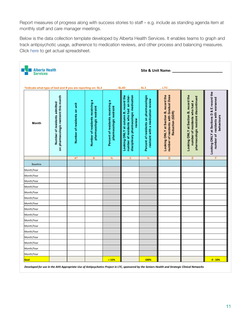Report measures of progress along with success stories to staff – e.g. include as standing agenda item at monthly staff and care manager meetings.

Below is the data collection template developed by Alberta Health Services. It enables teams to graph and track antipsychotic usage, adherence to medication reviews, and other process and balancing measures. Click [here](https://choosingwiselycanada.org/wp-content/uploads/2019/06/Copy-of-Simplified-data-collection-template.xlsx) to get actual spreadsheet.

| *Indicate what type of bed and # you are reporting on: SL4<br><b>Month</b> | on pharmacologic restraint this month<br>Number of residents admitted |                             |                                                            |                                                             | SL <sub>4D</sub>                                                                                                                 | SL <sub>3</sub>                                                             | LTC                                                                                               |                                                                                                                |                                                                                              |
|----------------------------------------------------------------------------|-----------------------------------------------------------------------|-----------------------------|------------------------------------------------------------|-------------------------------------------------------------|----------------------------------------------------------------------------------------------------------------------------------|-----------------------------------------------------------------------------|---------------------------------------------------------------------------------------------------|----------------------------------------------------------------------------------------------------------------|----------------------------------------------------------------------------------------------|
|                                                                            |                                                                       |                             |                                                            |                                                             |                                                                                                                                  |                                                                             |                                                                                                   |                                                                                                                |                                                                                              |
|                                                                            |                                                                       | Number of residents on unit | Number of residents receiving a<br>pharmacologic restraint | Percent of residents receiving a<br>pharmacologic restraint | number of residents who had an inter-<br>disciplinary pharmacologic medication<br>Looking ONLY at column B, record the<br>review | Percent of residents on pharmacologic<br>restraint with a medication review | number of residents with Gradual Dose<br>Looking ONLY at Section B, record the<br>Reduction (GDR) | Looking ONLY at Section B, record the<br>pharmacologic restraint discontinued<br>number of residents who had a | Looking ONLY at Sections D & E record the<br>number of residents with worsened<br>behaviours |
|                                                                            |                                                                       | $A^*$                       | $\, {\bf B}$                                               | $\%$                                                        | c                                                                                                                                | %                                                                           | D                                                                                                 | Е                                                                                                              | F                                                                                            |
| <b>Baseline</b>                                                            |                                                                       |                             |                                                            |                                                             |                                                                                                                                  |                                                                             |                                                                                                   |                                                                                                                |                                                                                              |
| Month/Year                                                                 |                                                                       |                             |                                                            |                                                             |                                                                                                                                  |                                                                             |                                                                                                   |                                                                                                                |                                                                                              |
| Month/Year                                                                 |                                                                       |                             |                                                            |                                                             |                                                                                                                                  |                                                                             |                                                                                                   |                                                                                                                |                                                                                              |
| Month/Year                                                                 |                                                                       |                             |                                                            |                                                             |                                                                                                                                  |                                                                             |                                                                                                   |                                                                                                                |                                                                                              |
| Month/Year                                                                 |                                                                       |                             |                                                            |                                                             |                                                                                                                                  |                                                                             |                                                                                                   |                                                                                                                |                                                                                              |
| Month/Year                                                                 |                                                                       |                             |                                                            |                                                             |                                                                                                                                  |                                                                             |                                                                                                   |                                                                                                                |                                                                                              |
| Month/Year                                                                 |                                                                       |                             |                                                            |                                                             |                                                                                                                                  |                                                                             |                                                                                                   |                                                                                                                |                                                                                              |
| Month/Year                                                                 |                                                                       |                             |                                                            |                                                             |                                                                                                                                  |                                                                             |                                                                                                   |                                                                                                                |                                                                                              |
| Month/Year                                                                 |                                                                       |                             |                                                            |                                                             |                                                                                                                                  |                                                                             |                                                                                                   |                                                                                                                |                                                                                              |
| Month/Year                                                                 |                                                                       |                             |                                                            |                                                             |                                                                                                                                  |                                                                             |                                                                                                   |                                                                                                                |                                                                                              |
| Month/Year                                                                 |                                                                       |                             |                                                            |                                                             |                                                                                                                                  |                                                                             |                                                                                                   |                                                                                                                |                                                                                              |
| Month/Year                                                                 |                                                                       |                             |                                                            |                                                             |                                                                                                                                  |                                                                             |                                                                                                   |                                                                                                                |                                                                                              |
| Month/Year                                                                 |                                                                       |                             |                                                            |                                                             |                                                                                                                                  |                                                                             |                                                                                                   |                                                                                                                |                                                                                              |
| Month/Year                                                                 |                                                                       |                             |                                                            |                                                             |                                                                                                                                  |                                                                             |                                                                                                   |                                                                                                                |                                                                                              |
| Month/Year                                                                 |                                                                       |                             |                                                            |                                                             |                                                                                                                                  |                                                                             |                                                                                                   |                                                                                                                |                                                                                              |
| Month/Year                                                                 |                                                                       |                             |                                                            |                                                             |                                                                                                                                  |                                                                             |                                                                                                   |                                                                                                                |                                                                                              |
| Month/Year<br>Goal                                                         |                                                                       |                             |                                                            | < 15%                                                       |                                                                                                                                  | 100%                                                                        |                                                                                                   |                                                                                                                | $0 - 10%$                                                                                    |

*Developed for use in the AHS Appropriate Use of Antipsychotics Project in LTC, sponsored by the Seniors Health and Strategic Clinical Networks*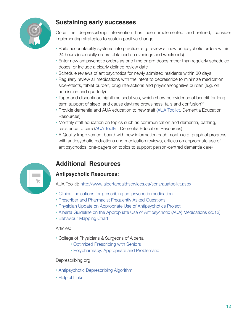

# **Sustaining early successes**

Once the de-prescribing intervention has been implemented and refined, consider implementing strategies to sustain positive change:

- Build accountability systems into practice, e.g. review all new antipsychotic orders within 24 hours (especially orders obtained on evenings and weekends)
- Enter new antipsychotic orders as one time or prn doses rather than regularly scheduled doses, or include a clearly defined review date
- Schedule reviews of antipsychotics for newly admitted residents within 30 days
- Regularly review all medications with the intent to deprescribe to minimize medication side-effects, tablet burden, drug interactions and physical/cognitive burden (e.g. on admission and quarterly)
- Taper and discontinue nighttime sedatives, which show no evidence of benefit for long term support of sleep, and cause daytime drowsiness, falls and confusion<sup>10</sup>
- Provide dementia and AUA education to new staff [\(AUA Toolkit,](http://www.albertahealthservices.ca/scns/auatoolkit.aspx) Dementia Education Resources)
- Monthly staff education on topics such as communication and dementia, bathing, resistance to care ([AUA Toolkit,](http://www.albertahealthservices.ca/scns/auatoolkit.aspx) Dementia Education Resources)
- A Quality Improvement board with new information each month (e.g. graph of progress with antipsychotic reductions and medication reviews, articles on appropriate use of antipsychotics, one-pagers on topics to support person-centred dementia care)



# **Additional Resources**

## **Antipsychotic Resources:**

AUA Toolkit: <http://www.albertahealthservices.ca/scns/auatoolkit.aspx>

- [Clinical Indications for prescribing antipsychotic medication](http://www.albertahealthservices.ca/assets/about/scn/ahs-scn-srs-aua-prescribing-antipsychotic.pdf)
- [Prescriber and Pharmacist Frequently Asked Questions](http://www.albertahealthservices.ca/assets/about/scn/ahs-scn-srs-aua-prescriber-pharm-faq.pdf)
- [Physician Update on Appropriate Use of Antipsychotics Project](https://www.albertahealthservices.ca/assets/about/scn/ahs-scn-srs-aua-update-2015-07.pdf)
- [Alberta Guideline on the Appropriate Use of Antipsychotic \(AUA\) Medications \(2013\)](https://extranet.ahsnet.ca/teams/policydocuments/1/clp-ahs-appropriate-use-antipsychotic-med-ltc-guideline-ps-26-01.pdf)
- [Behaviour Mapping Chart](https://www.albertahealthservices.ca/frm-19895.pdf)

#### Articles:

- College of Physicians & Surgeons of Alberta
	- [Optimized Prescribing with Seniors](http://www.cpsa.ca/introducing-optimized-prescribing-seniors-ops/)
	- [Polypharmacy: Appropriate and Problematic](http://www.cpsa.ca/polypharmacy-appropriate-problematic/)

#### Deprescribing.org

- [Antipsychotic Deprescribing Algorithm](https://deprescribing.org/wp-content/uploads/2018/08/AP-deprescribing-algorithm-2018-English.pdf)
- [Helpful Links](http://deprescribing.org/resources/helpful-links/)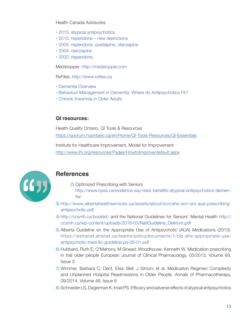#### Health Canada Advisories

- [2015: atypical antipsychotics](https://www.canada.ca/en/health-canada/services/drugs-health-products/medeffect-canada/safety-reviews/summary-safety-review-atypical-antipsychotics-assessing-potential-risk-urinary-retention.html)
- [2015: risperidone new restrictions](http://healthycanadians.gc.ca/recall-alert-rappel-avis/hc-sc/2015/43797a-eng.php?_ga=1.262734028.1767095615.1458263529)
- [2005: risperidone, quetiapine, olanzapine](http://www.healthycanadians.gc.ca/recall-alert-rappel-avis/hc-sc/2005/14307a-eng.php)
- [2004: olanzapine](http://www.healthycanadians.gc.ca/recall-alert-rappel-avis/hc-sc/2004/14300a-eng.php)
- [2002: risperidone](http://www.healthycanadians.gc.ca/recall-alert-rappel-avis/hc-sc/2002/14164a-eng.php)

Medstopper: <http://medstopper.com>

RxFiles: <http://www.rxfiles.ca>

- [Dementia Overview](http://www.rxfiles.ca/rxfiles/uploads/documents/Dementia-Newsletter-Overview-Booklet-WEB.pdf)
- [Behaviour Management in Dementia: Where do Antipsychotics Fit?](http://www.rxfiles.ca/rxfiles/uploads/documents/Psych-BPSD-Newsletter.pdf)
- [Chronic Insomnia in Older Adults](http://www.rxfiles.ca/rxfiles/uploads/documents/Insomnia-Older-Adults-QandA.pdf)

## **QI resources:**

Health Quality Ontario, QI Tools & Resources [https://quorum.hqontario.ca/en/Home/QI-Tools-Resources/QI-Essentials](https://quorum.hqontario.ca/en/Home/QI-Tools-Resources/QI-Essentials
)

Institute for Healthcare Improvement, Model for Improvement [http://www.ihi.org/resources/Pages/HowtoImprove/default.aspx](http://www.ihi.org/resources/Pages/HowtoImprove/default.aspx
)



## **References**

- 2) Optimized Prescribing with Seniors [http://www.cpsa.ca/evidence-say-risks-benefits-atypical-antipsychotics-demen](http://www.cpsa.ca/evidence-say-risks-benefits-atypical-antipsychotics-dementia/)[tia/](http://www.cpsa.ca/evidence-say-risks-benefits-atypical-antipsychotics-dementia/)
- 3) [http://www.albertahealthservices.ca/assets/about/scn/ahs-scn-srs-aua-prescribing](http://www.albertahealthservices.ca/assets/about/scn/ahs-scn-srs-aua-prescribing-antipsychotic.pdf)[antipsychotic.pdf](http://www.albertahealthservices.ca/assets/about/scn/ahs-scn-srs-aua-prescribing-antipsychotic.pdf)
- 4) <http://ccsmh.ca/booklet/>and the National Guidelines for Seniors' Mental Health [http://](http://ccsmh.ca/wp-content/uploads/2016/03/NatlGuideline_Delirium.pdf) [ccsmh.ca/wp-content/uploads/2016/03/NatlGuideline\\_Delirium.pdf](http://ccsmh.ca/wp-content/uploads/2016/03/NatlGuideline_Delirium.pdf)
- 5) Alberta Guideline on the Appropriate Use of Antipsychotic (AUA) Medications (2013). [https://extranet.ahsnet.ca/teams/policydocuments/1/clp-ahs-appropriate-use](https://extranet.ahsnet.ca/teams/policydocuments/1/clp-ahs-appropriate-use-antipsychotic-med-ltc-guideline-ps-26-01.pdf)[antipsychotic-med-ltc-guideline-ps-26-01.pdf](https://extranet.ahsnet.ca/teams/policydocuments/1/clp-ahs-appropriate-use-antipsychotic-med-ltc-guideline-ps-26-01.pdf)
- 6) Hubbard, Ruth E; O'Mahony, M Sinead; Woodhouse, Kenneth W. Medication prescribing in frail older people European Journal of Clinical Pharmacology, 03/2013, Volume 69, Issue 3
- 7) Wimmer, Barbara C; Dent, Elsa; Bell, J Simon; et al. Medication Regimen Complexity and Unplanned Hospital Readmissions in Older People. Annals of Pharmacotherapy, 09/2014, Volume 48, Issue 9
- 8) Schneider LS, Dagerman K, Insel PS. Efficacy and adverse effects of atypical antipsychotics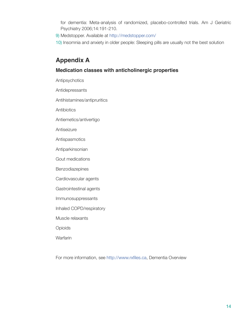for dementia: Meta-analysis of randomized, placebo-controlled trials. Am J Geriatric Psychiatry 2006;14:191-210.

- 9) Medstopper. Available at<http://medstopper.com/>
- 10) Insomnia and anxiety in older people: Sleeping pills are usually not the best solution

# **Appendix A**

#### **Medication classes with anticholinergic properties**

Antipsychotics

Antidepressants

Antihistamines/antipruritics

**Antibiotics** 

Antiemetics/antivertigo

Antiseizure

Antispasmotics

Antiparkinsonian

Gout medications

Benzodiazepines

Cardiovascular agents

Gastrointestinal agents

Immunosuppressants

Inhaled COPD/respiratory

Muscle relaxants

**Opioids** 

**Warfarin** 

For more information, see <http://www.rxfiles.ca>, Dementia Overview